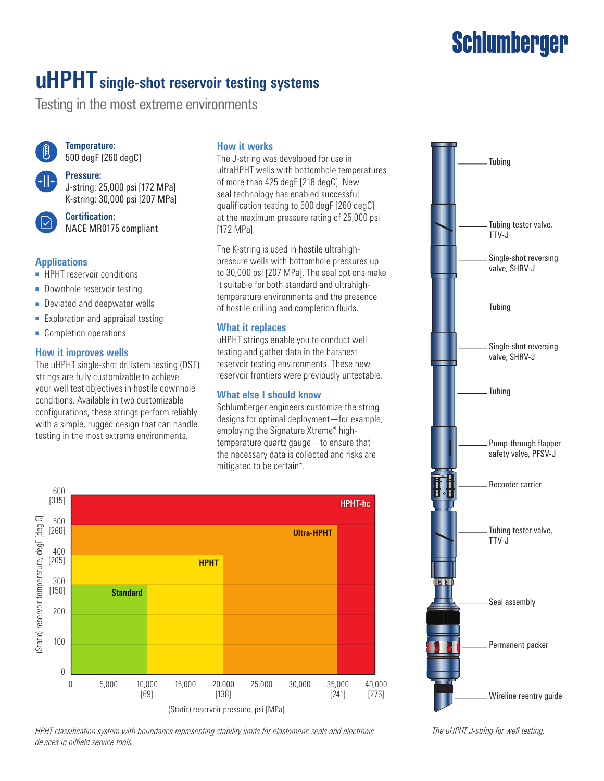# **Schlumberger**

# **uHPHT single-shot reservoir testing systems**

Testing in the most extreme environments



**Temperature:** 500 degF [260 degC]

#### **Pressure:**

J-string: 25,000 psi [172 MPa] K-string: 30,000 psi [207 MPa]



**Certification:** NACE MR0175 compliant

#### **Applications**

- HPHT reservoir conditions
- Downhole reservoir testing
- Deviated and deepwater wells
- Exploration and appraisal testing
- Completion operations

#### **How it improves wells**

The uHPHT single-shot drillstem testing (DST) strings are fully customizable to achieve your well test objectives in hostile downhole conditions. Available in two customizable configurations, these strings perform reliably with a simple, rugged design that can handle testing in the most extreme environments.

#### **How it works**

The J-string was developed for use in ultraHPHT wells with bottomhole temperatures of more than 425 degF [218 degC]. New seal technology has enabled successful qualification testing to 500 degF [260 degC] at the maximum pressure rating of 25,000 psi [172 MPal.

The K-string is used in hostile ultrahighpressure wells with bottomhole pressures up to 30,000 psi [207 MPa]. The seal options make it suitable for both standard and ultrahightemperature environments and the presence of hostile drilling and completion fluids.

#### **What it replaces**

uHPHT strings enable you to conduct well testing and gather data in the harshest reservoir testing environments. These new reservoir frontiers were previously untestable.

#### **What else I should know**

Schlumberger engineers customize the string designs for optimal deployment—for example, employing the Signature Xtreme\* hightemperature quartz gauge—to ensure that the necessary data is collected and risks are mitigated to be certain\*.



*HPHT classification system with boundaries representing stability limits for elastomeric seals and electronic The uHPHT J-string for well testing. devices in oilfield service tools.*